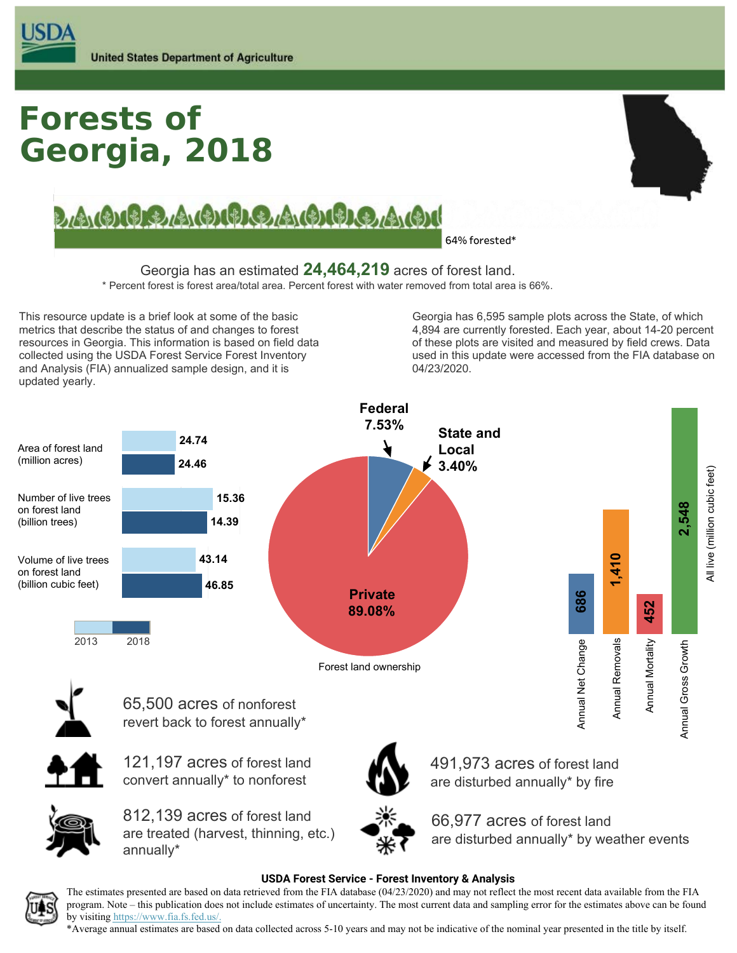# **Georgia, 2018 Forests of**



LAGICIO A GIORDO A GIULO A GIULO

**64% forested\***

Georgia has an estimated **24,464,219** acres of forest land.

\* Percent forest is forest area/total area. Percent forest with water removed from total area is 66%.

This resource update is a brief look at some of the basic metrics that describe the status of and changes to forest resources in Georgia. This information is based on field data collected using the USDA Forest Service Forest Inventory and Analysis (FIA) annualized sample design, and it is updated yearly.

Georgia has 6,595 sample plots across the State, of which 4,894 are currently forested. Each year, about 14-20 percent of these plots are visited and measured by field crews. Data used in this update were accessed from the FIA database on 04/23/2020.



#### **USDA Forest Service - Forest Inventory & Analysis**



The estimates presented are based on data retrieved from the FIA database (04/23/2020) and may not reflect the most recent data available from the FIA program. Note – this publication does not include estimates of uncertainty. The most current data and sampling error for the estimates above can be found by visiting https://www.fia.fs.fed.us/.

\*Average annual estimates are based on data collected across 5-10 years and may not be indicative of the nominal year presented in the title by itself.